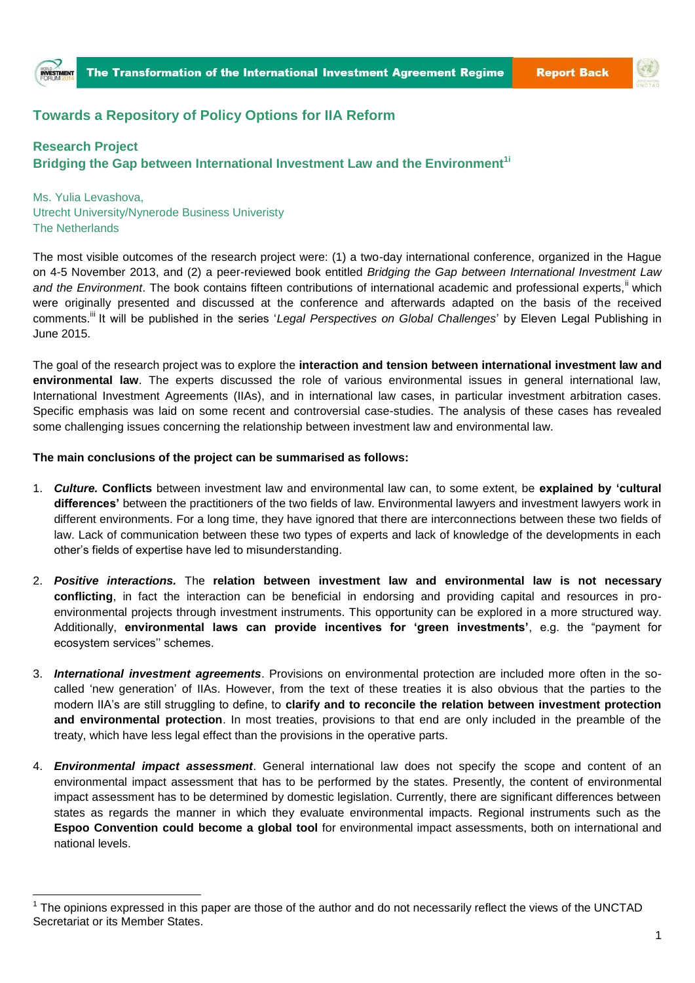

## **Towards a Repository of Policy Options for IIA Reform**

## **Research Project**

 $\overline{a}$ 

**Bridging the Gap between International Investment Law and the Environment1i**

Ms. Yulia Levashova, Utrecht University/Nynerode Business Univeristy The Netherlands

The most visible outcomes of the research project were: (1) a two-day international conference, organized in the Hague on 4-5 November 2013, and (2) a peer-reviewed book entitled *Bridging the Gap between International Investment Law*  and the Environment. The book contains fifteen contributions of international academic and professional experts,<sup>ii</sup> which were originally presented and discussed at the conference and afterwards adapted on the basis of the received comments.<sup>iii</sup> It will be published in the series '*Legal Perspectives on Global Challenges*' by Eleven Legal Publishing in June 2015.

The goal of the research project was to explore the **interaction and tension between international investment law and environmental law**. The experts discussed the role of various environmental issues in general international law, International Investment Agreements (IIAs), and in international law cases, in particular investment arbitration cases. Specific emphasis was laid on some recent and controversial case-studies. The analysis of these cases has revealed some challenging issues concerning the relationship between investment law and environmental law.

## **The main conclusions of the project can be summarised as follows:**

- 1. *Culture.* **Conflicts** between investment law and environmental law can, to some extent, be **explained by 'cultural differences'** between the practitioners of the two fields of law. Environmental lawyers and investment lawyers work in different environments. For a long time, they have ignored that there are interconnections between these two fields of law. Lack of communication between these two types of experts and lack of knowledge of the developments in each other's fields of expertise have led to misunderstanding.
- 2. *Positive interactions.* The **relation between investment law and environmental law is not necessary conflicting**, in fact the interaction can be beneficial in endorsing and providing capital and resources in proenvironmental projects through investment instruments. This opportunity can be explored in a more structured way. Additionally, **environmental laws can provide incentives for 'green investments'**, e.g. the "payment for ecosystem services'' schemes.
- 3. *International investment agreements*. Provisions on environmental protection are included more often in the socalled 'new generation' of IIAs. However, from the text of these treaties it is also obvious that the parties to the modern IIA's are still struggling to define, to **clarify and to reconcile the relation between investment protection and environmental protection**. In most treaties, provisions to that end are only included in the preamble of the treaty, which have less legal effect than the provisions in the operative parts.
- 4. *Environmental impact assessment*. General international law does not specify the scope and content of an environmental impact assessment that has to be performed by the states. Presently, the content of environmental impact assessment has to be determined by domestic legislation. Currently, there are significant differences between states as regards the manner in which they evaluate environmental impacts. Regional instruments such as the **Espoo Convention could become a global tool** for environmental impact assessments, both on international and national levels.

 $1$  The opinions expressed in this paper are those of the author and do not necessarily reflect the views of the UNCTAD Secretariat or its Member States.